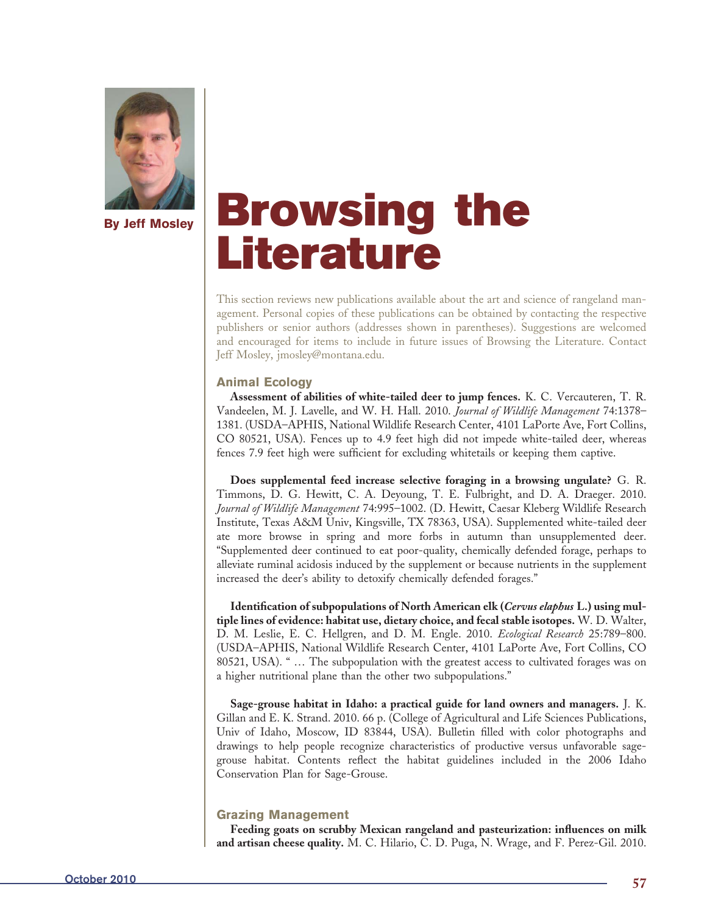

# **Browsing the Literature**

This section reviews new publications available about the art and science of rangeland management. Personal copies of these publications can be obtained by contacting the respective publishers or senior authors (addresses shown in parentheses). Suggestions are welcomed and encouraged for items to include in future issues of Browsing the Literature. Contact Jeff Mosley, jmosley@montana.edu.

## **Animal Ecology**

**Assessment of abilities of white-tailed deer to jump fences.** K. C. Vercauteren, T. R. Vandeelen, M. J. Lavelle, and W. H. Hall. 2010. *Journal of Wildlife Management* 74:1378– 1381. (USDA–APHIS, National Wildlife Research Center, 4101 LaPorte Ave, Fort Collins, CO 80521, USA). Fences up to 4.9 feet high did not impede white-tailed deer, whereas fences 7.9 feet high were sufficient for excluding whitetails or keeping them captive.

**Does supplemental feed increase selective foraging in a browsing ungulate?** G. R. Timmons, D. G. Hewitt, C. A. Deyoung, T. E. Fulbright, and D. A. Draeger. 2010. *Journal of Wildlife Management* 74:995–1002. (D. Hewitt, Caesar Kleberg Wildlife Research Institute, Texas A&M Univ, Kingsville, TX 78363, USA). Supplemented white-tailed deer ate more browse in spring and more forbs in autumn than unsupplemented deer. "Supplemented deer continued to eat poor-quality, chemically defended forage, perhaps to alleviate ruminal acidosis induced by the supplement or because nutrients in the supplement increased the deer's ability to detoxify chemically defended forages."

Identification of subpopulations of North American elk (*Cervus elaphus* L.) using mul**tiple lines of evidence: habitat use, dietary choice, and fecal stable isotopes.** W. D. Walter, D. M. Leslie, E. C. Hellgren, and D. M. Engle. 2010. *Ecological Research* 25:789–800. (USDA–APHIS, National Wildlife Research Center, 4101 LaPorte Ave, Fort Collins, CO 80521, USA). " … The subpopulation with the greatest access to cultivated forages was on a higher nutritional plane than the other two subpopulations."

**Sage-grouse habitat in Idaho: a practical guide for land owners and managers.** J. K. Gillan and E. K. Strand. 2010. 66 p. (College of Agricultural and Life Sciences Publications, Univ of Idaho, Moscow, ID 83844, USA). Bulletin filled with color photographs and drawings to help people recognize characteristics of productive versus unfavorable sagegrouse habitat. Contents reflect the habitat guidelines included in the 2006 Idaho Conservation Plan for Sage-Grouse.

# **Grazing Management**

Feeding goats on scrubby Mexican rangeland and pasteurization: influences on milk **and artisan cheese quality.** M. C. Hilario, C. D. Puga, N. Wrage, and F. Perez-Gil. 2010.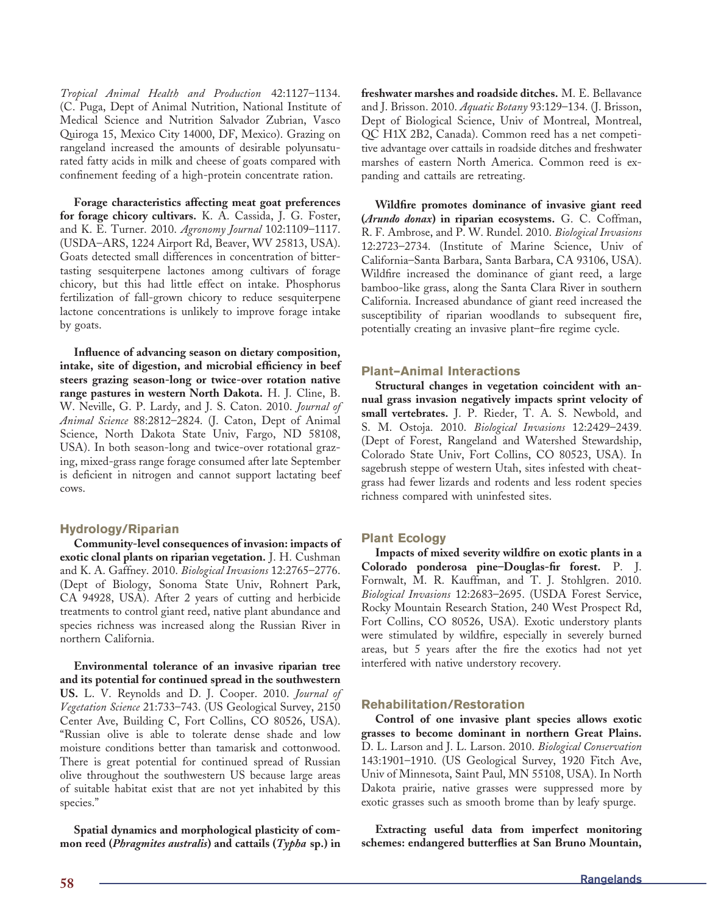*Tropical Animal Health and Production* 42:1127–1134. (C. Puga, Dept of Animal Nutrition, National Institute of Medical Science and Nutrition Salvador Zubrian, Vasco Quiroga 15, Mexico City 14000, DF, Mexico). Grazing on rangeland increased the amounts of desirable polyunsaturated fatty acids in milk and cheese of goats compared with confinement feeding of a high-protein concentrate ration.

**Forage characteristics affecting meat goat preferences for forage chicory cultivars.** K. A. Cassida, J. G. Foster, and K. E. Turner. 2010. *Agronomy Journal* 102:1109–1117. (USDA–ARS, 1224 Airport Rd, Beaver, WV 25813, USA). Goats detected small differences in concentration of bittertasting sesquiterpene lactones among cultivars of forage chicory, but this had little effect on intake. Phosphorus fertilization of fall-grown chicory to reduce sesquiterpene lactone concentrations is unlikely to improve forage intake by goats.

Influence of advancing season on dietary composition, intake, site of digestion, and microbial efficiency in beef **steers grazing season-long or twice-over rotation native range pastures in western North Dakota.** H. J. Cline, B. W. Neville, G. P. Lardy, and J. S. Caton. 2010. *Journal of Animal Science* 88:2812–2824. (J. Caton, Dept of Animal Science, North Dakota State Univ, Fargo, ND 58108, USA). In both season-long and twice-over rotational grazing, mixed-grass range forage consumed after late September is deficient in nitrogen and cannot support lactating beef cows.

### **Hydrology/Riparian**

**Community-level consequences of invasion: impacts of exotic clonal plants on riparian vegetation.** J. H. Cushman and K. A. Gaffney. 2010. *Biological Invasions* 12:2765–2776. (Dept of Biology, Sonoma State Univ, Rohnert Park, CA 94928, USA). After 2 years of cutting and herbicide treatments to control giant reed, native plant abundance and species richness was increased along the Russian River in northern California.

**Environmental tolerance of an invasive riparian tree and its potential for continued spread in the southwestern US.** L. V. Reynolds and D. J. Cooper. 2010. *Journal of Vegetation Science* 21:733–743. (US Geological Survey, 2150 Center Ave, Building C, Fort Collins, CO 80526, USA). "Russian olive is able to tolerate dense shade and low moisture conditions better than tamarisk and cottonwood. There is great potential for continued spread of Russian olive throughout the southwestern US because large areas of suitable habitat exist that are not yet inhabited by this species."

**Spatial dynamics and morphological plasticity of common reed (***Phragmites australis***) and cattails (***Typha* **sp.) in**  **freshwater marshes and roadside ditches.** M. E. Bellavance and J. Brisson. 2010. *Aquatic Botany* 93:129–134. (J. Brisson, Dept of Biological Science, Univ of Montreal, Montreal, QC H1X 2B2, Canada). Common reed has a net competitive advantage over cattails in roadside ditches and freshwater marshes of eastern North America. Common reed is expanding and cattails are retreating.

Wildfire promotes dominance of invasive giant reed **(***Arundo donax***) in riparian ecosystems.** G. C. Coffman, R. F. Ambrose, and P. W. Rundel. 2010. *Biological Invasions* 12:2723–2734. (Institute of Marine Science, Univ of California–Santa Barbara, Santa Barbara, CA 93106, USA). Wildfire increased the dominance of giant reed, a large bamboo-like grass, along the Santa Clara River in southern California. Increased abundance of giant reed increased the susceptibility of riparian woodlands to subsequent fire, potentially creating an invasive plant–fire regime cycle.

#### **Plant–Animal Interactions**

**Structural changes in vegetation coincident with annual grass invasion negatively impacts sprint velocity of small vertebrates.** J. P. Rieder, T. A. S. Newbold, and S. M. Ostoja. 2010. *Biological Invasions* 12:2429–2439. (Dept of Forest, Rangeland and Watershed Stewardship, Colorado State Univ, Fort Collins, CO 80523, USA). In sagebrush steppe of western Utah, sites infested with cheatgrass had fewer lizards and rodents and less rodent species richness compared with uninfested sites.

#### **Plant Ecology**

Impacts of mixed severity wildfire on exotic plants in a Colorado ponderosa pine–Douglas-fir forest. P. J. Fornwalt, M. R. Kauffman, and T. J. Stohlgren. 2010. *Biological Invasions* 12:2683–2695. (USDA Forest Service, Rocky Mountain Research Station, 240 West Prospect Rd, Fort Collins, CO 80526, USA). Exotic understory plants were stimulated by wildfire, especially in severely burned areas, but 5 years after the fire the exotics had not yet interfered with native understory recovery.

#### **Rehabilitation/Restoration**

**Control of one invasive plant species allows exotic grasses to become dominant in northern Great Plains.** D. L. Larson and J. L. Larson. 2010. *Biological Conservation* 143:1901–1910. (US Geological Survey, 1920 Fitch Ave, Univ of Minnesota, Saint Paul, MN 55108, USA). In North Dakota prairie, native grasses were suppressed more by exotic grasses such as smooth brome than by leafy spurge.

**Extracting useful data from imperfect monitoring**  schemes: endangered butterflies at San Bruno Mountain,